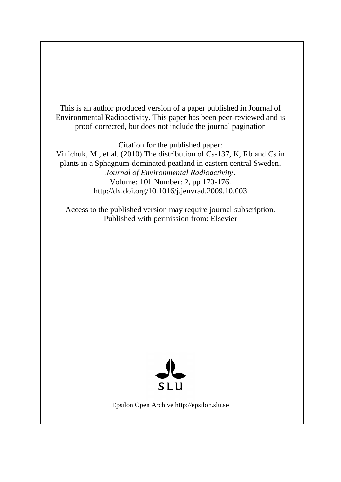This is an author produced version of a paper published in Journal of Environmental Radioactivity. This paper has been peer-reviewed and is proof-corrected, but does not include the journal pagination

Citation for the published paper: Vinichuk, M., et al. (2010) The distribution of Cs-137, K, Rb and Cs in plants in a Sphagnum-dominated peatland in eastern central Sweden. *Journal of Environmental Radioactivity*. Volume: 101 Number: 2, pp 170-176. http://dx.doi.org/10.1016/j.jenvrad.2009.10.003

Access to the published version may require journal subscription. Published with permission from: Elsevier



Epsilon Open Archive http://epsilon.slu.se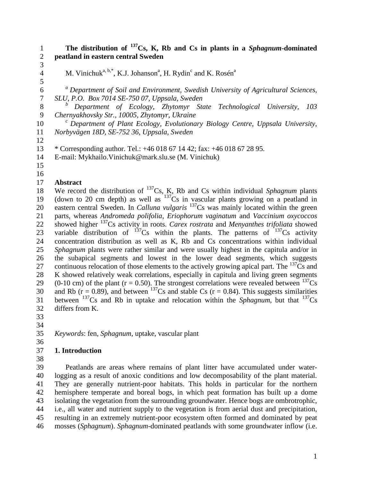**The distribution of <sup>137</sup>Cs, K, Rb and Cs in plants in a** *Sphagnum***-dominated peatland in eastern central Sweden**

 

M. Vinichuk<sup>a, b,\*</sup>, K.J. Johanson<sup>a</sup>, H. Rydin<sup>c</sup> and K. Rosén<sup>a</sup>

*<sup>a</sup> Department of Soil and Environment, Swedish University of Agricultural Sciences, SLU, P.O. Box 7014 SE-750 07, Uppsala, Sweden*

*<sup>b</sup> Department of Ecology, Zhytomyr State Technological University, 103 Chernyakhovsky Str., 10005, Zhytomyr, Ukraine*

*<sup>c</sup> Department of Plant Ecology, Evolutionary Biology Centre, Uppsala University, Norbyvägen 18D, SE-752 36, Uppsala, Sweden*

\* Corresponding author. Tel.: +46 018 67 14 42; fax: +46 018 67 28 95.

E-mail: [Mykhailo.Vinichuk@mark.slu.se](mailto:Mykhailo.Vinichuk@mark.slu.se) (M. Vinichuk)

- 
- 

#### **Abstract**

18 We record the distribution of  $^{137}Cs$ , K, Rb and Cs within individual *Sphagnum* plants 19 (down to 20 cm depth) as well as  $137\text{Cs}$  in vascular plants growing on a peatland in 20 eastern central Sweden. In *Calluna vulgaris* <sup>137</sup>Cs was mainly located within the green parts, whereas *Andromeda polifolia*, *Eriophorum vaginatum* and *Vaccinium oxycoccos* 22 showed higher <sup>137</sup>Cs activity in roots. *Carex rostrata* and *Menyanthes trifoliata* showed 23 variable distribution of Cs within the plants. The patterns of  $137$ Cs activity concentration distribution as well as K, Rb and Cs concentrations within individual *Sphagnum* plants were rather similar and were usually highest in the capitula and/or in the subapical segments and lowest in the lower dead segments, which suggests 27 continuous relocation of those elements to the actively growing apical part. The  $^{137}Cs$  and K showed relatively weak correlations, especially in capitula and living green segments 29 (0-10 cm) of the plant ( $r = 0.50$ ). The strongest correlations were revealed between <sup>137</sup>Cs 30 and Rb ( $r = 0.89$ ), and between <sup>137</sup>Cs and stable Cs ( $r = 0.84$ ). This suggests similarities 31 between  $^{137}Cs$  and Rb in uptake and relocation within the *Sphagnum*, but that  $^{137}Cs$ differs from K.

- 
- 

*Keywords*: fen, *Sphagnum*, uptake, vascular plant

## **1. Introduction**

 Peatlands are areas where remains of plant litter have accumulated under water- logging as a result of anoxic conditions and low decomposability of the plant material. They are generally nutrient-poor habitats. This holds in particular for the northern hemisphere temperate and boreal bogs, in which peat formation has built up a dome isolating the vegetation from the surrounding groundwater. Hence bogs are ombrotrophic, i.e., all water and nutrient supply to the vegetation is from aerial dust and precipitation, resulting in an extremely nutrient-poor ecosystem often formed and dominated by peat mosses (*Sphagnum*). *Sphagnum*-dominated peatlands with some groundwater inflow (i.e.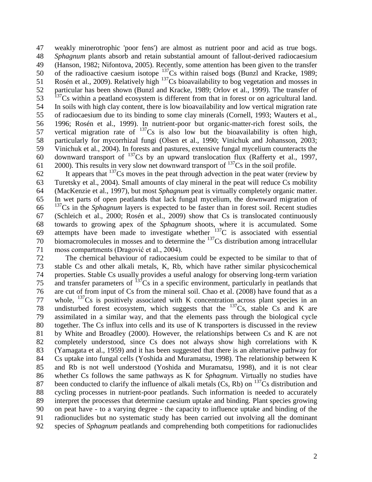weakly minerotrophic 'poor fens') are almost as nutrient poor and acid as true bogs. *Sphagnum* plants absorb and retain substantial amount of fallout-derived radiocaesium (Hanson, 1982; Nifontova, 2005). Recently, some attention has been given to the transfer 50 of the radioactive caesium isotope  $^{137}Cs$  within raised bogs (Bunzl and Kracke, 1989; 51 Rosén et al., 2009). Relatively high  $^{137}$ Cs bioavailability to bog vegetation and mosses in particular has been shown (Bunzl and Kracke, 1989; Orlov et al., 1999). The transfer of  $\text{Cs}$  within a peatland ecosystem is different from that in forest or on agricultural land. In soils with high clay content, there is low bioavailability and low vertical migration rate of radiocaesium due to its binding to some clay minerals (Cornell, 1993; Wauters et al., 1996; Rosén et al., 1999). In nutrient-poor but organic-matter-rich forest soils, the 57 vertical migration rate of Cs is also low but the bioavailability is often high, particularly for mycorrhizal fungi (Olsen et al., 1990; Vinichuk and Johansson, 2003; Vinichuk et al., 2004). In forests and pastures, extensive fungal mycelium counteracts the 60 downward transport of Cs by an upward translocation flux (Rafferty et al., 1997, ). This results in very slow net downward transport of  $137$ Cs in the soil profile.

 It appears that  $137$ Cs moves in the peat through advection in the peat water (review by Turetsky et al., 2004). Small amounts of clay mineral in the peat will reduce Cs mobility (MacKenzie et al., 1997), but most *Sphagnum* peat is virtually completely organic matter. In wet parts of open peatlands that lack fungal mycelium, the downward migration of Cs in the *Sphagnum* layers is expected to be faster than in forest soil. Recent studies (Schleich et al., 2000; Rosén et al., 2009) show that Cs is translocated continuously towards to growing apex of the *Sphagnum* shoots, where it is accumulated. Some 69 attempts have been made to investigate whether  $^{137}$ C is associated with essential 70 biomacromolecules in mosses and to determine the Cs distribution among intracellular moss compartments (Dragović et al., 2004).

 The chemical behaviour of radiocaesium could be expected to be similar to that of stable Cs and other alkali metals, K, Rb, which have rather similar physicochemical properties. Stable Cs usually provides a useful analogy for observing long-term variation 75 and transfer parameters of Cs in a specific environment, particularly in peatlands that are cut of from input of Cs from the mineral soil. Chao et al. (2008) have found that as a 77 whole, Cs is positively associated with K concentration across plant species in an 78 undisturbed forest ecosystem, which suggests that the Cs, stable Cs and K are assimilated in a similar way, and that the elements pass through the biological cycle together. The Cs influx into cells and its use of K transporters is discussed in the review by White and Broadley (2000). However, the relationships between Cs and K are not completely understood, since Cs does not always show high correlations with K (Yamagata et al., 1959) and it has been suggested that there is an alternative pathway for Cs uptake into fungal cells (Yoshida and Muramatsu, 1998). The relationship between K and Rb is not well understood (Yoshida and Muramatsu, 1998), and it is not clear whether Cs follows the same pathways as K for *Sphagnum*. Virtually no studies have 87 been conducted to clarify the influence of alkali metals  $(Cs, Rb)$  on  $137\text{Cs}$  distribution and cycling processes in nutrient-poor peatlands. Such information is needed to accurately interpret the processes that determine caesium uptake and binding. Plant species growing on peat have - to a varying degree - the capacity to influence uptake and binding of the radionuclides but no systematic study has been carried out involving all the dominant species of *Sphagnum* peatlands and comprehending both competitions for radionuclides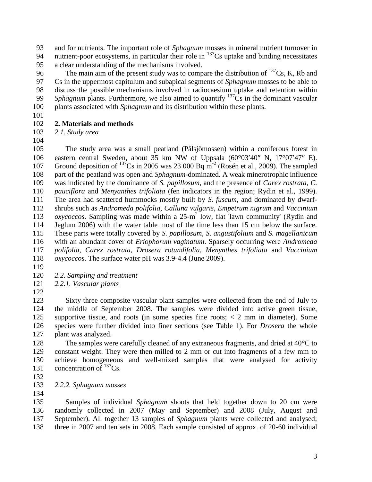and for nutrients. The important role of *Sphagnum* mosses in mineral nutrient turnover in 94 nutrient-poor ecosystems, in particular their role in Cs uptake and binding necessitates a clear understanding of the mechanisms involved.

The main aim of the present study was to compare the distribution of  $^{137}Cs$ , K, Rb and Cs in the uppermost capitulum and subapical segments of *Sphagnum* mosses to be able to discuss the possible mechanisms involved in radiocaesium uptake and retention within *Sphagnum* plants. Furthermore, we also aimed to quantify  $137\text{Cs}$  in the dominant vascular plants associated with *Sphagnum* and its distribution within these plants.

# **2. Materials and methods**

 *2.1. Study area*  

 The study area was a small peatland (Pålsjömossen) within a coniferous forest in 106 eastern central Sweden, about 35 km NW of Uppsala  $(60^{\circ}03'40''$  N,  $17^{\circ}07'47''$  E). 107 Ground deposition of <sup>137</sup>Cs in 2005 was 23 000 Bq m<sup>-2</sup> (Rosén et al., 2009). The sampled part of the peatland was open and *Sphagnum*-dominated. A weak minerotrophic influence was indicated by the dominance of *S. papillosum*, and the presence of *Carex rostrata*, *C. pauciflora* and *Menyanthes trifoliata* (fen indicators in the region; Rydin et al., 1999). The area had scattered hummocks mostly built by *S. fuscum*, and dominated by dwarf- shrubs such as *Andromeda polifolia, Calluna vulgaris*, *Empetrum nigrum* and *Vaccinium oxycoccos*. Sampling was made within a  $25-m^2$  low, flat 'lawn community' (Rydin and Jeglum 2006) with the water table most of the time less than 15 cm below the surface. These parts were totally covered by *S. papillosum*, *S. angustifolium* and *S. magellanicum* with an abundant cover of *Eriophorum vaginatum*. Sparsely occurring were *Andromeda polifolia, Carex rostrata*, *Drosera rotundifolia*, *Menynthes trifoliata* and *Vaccinium oxycoccos*. The surface water pH was 3.9-4.4 (June 2009).

- 
- *2.2. Sampling and treatment*

*2.2.1. Vascular plants* 

 Sixty three composite vascular plant samples were collected from the end of July to the middle of September 2008. The samples were divided into active green tissue, supportive tissue, and roots (in some species fine roots; < 2 mm in diameter). Some species were further divided into finer sections (see Table 1). For *Drosera* the whole plant was analyzed.

128 The samples were carefully cleaned of any extraneous fragments, and dried at 40<sup>o</sup>C to constant weight. They were then milled to 2 mm or cut into fragments of a few mm to achieve homogeneous and well-mixed samples that were analysed for activity 131 concentration of  $^{137}Cs$ .

- 
- *2.2.2. Sphagnum mosses*

 Samples of individual *Sphagnum* shoots that held together down to 20 cm were randomly collected in 2007 (May and September) and 2008 (July, August and September). All together 13 samples of *Sphagnum* plants were collected and analysed; three in 2007 and ten sets in 2008. Each sample consisted of approx. of 20-60 individual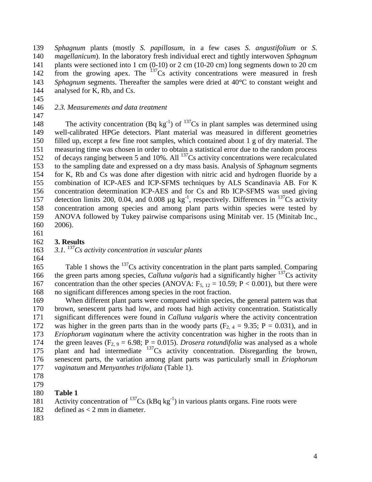*Sphagnum* plants (mostly *S. papillosum*, in a few cases *S. angustifolium* or *S. magellanicum*). In the laboratory fresh individual erect and tightly interwoven *Sphagnum* 141 plants were sectioned into 1 cm (0-10) or 2 cm (10-20 cm) long segments down to 20 cm 142 from the growing apex. The Cs activity concentrations were measured in fresh *Sphagnum* segments. Thereafter the samples were dried at 40<sup>o</sup>C to constant weight and analysed for K, Rb, and Cs.

*2.3. Measurements and data treatment* 

148 The activity concentration  $(Bq \text{ kg}^{-1})$  of  $^{137}Cs$  in plant samples was determined using well-calibrated HPGe detectors. Plant material was measured in different geometries filled up, except a few fine root samples, which contained about 1 g of dry material. The measuring time was chosen in order to obtain a statistical error due to the random process 152 of decays ranging between 5 and 10%. All  $^{137}$ Cs activity concentrations were recalculated to the sampling date and expressed on a dry mass basis. Analysis of *Sphagnum* segments for K, Rb and Cs was done after digestion with nitric acid and hydrogen fluoride by a combination of [ICP-AES](http://www.alsglobal.se/hem2005/company/teknik_icpaes.asp) and [ICP-SFMS](http://www.alsglobal.se/hem2005/company/teknik_icpsfms.asp) techniques by ALS Scandinavia AB. For K concentration determination [ICP-AES](http://www.alsglobal.se/hem2005/company/teknik_icpaes.asp) and for Cs and Rb [ICP-SFMS](http://www.alsglobal.se/hem2005/company/teknik_icpsfms.asp) was used giving 157 detection limits 200, 0.04, and 0.008  $\mu$ g kg<sup>-1</sup>, respectively. Differences in <sup>137</sup>Cs activity concentration among species and among plant parts within species were tested by ANOVA followed by Tukey pairwise comparisons using Minitab ver. 15 (Minitab Inc.,

- 2006).
- 
- **3. Results**

163 3.1. <sup>137</sup>Cs activity concentration in vascular plants

165 Table 1 shows the Cs activity concentration in the plant parts sampled. Comparing 166 the green parts among species, *Calluna vulgaris* had a significantly higher <sup>137</sup>Cs activity 167 concentration than the other species (ANOVA:  $F_{5, 12} = 10.59$ ; P < 0.001), but there were no significant differences among species in the root fraction.

 When different plant parts were compared within species, the general pattern was that brown, senescent parts had low, and roots had high activity concentration. Statistically significant differences were found in *Calluna vulgaris* where the activity concentration 172 was higher in the green parts than in the woody parts  $(F_{2, 4} = 9.35; P = 0.031)$ , and in *Eriophorum vaginatum* where the activity concentration was higher in the roots than in 174 the green leaves  $(F_2, 9 = 6.98; P = 0.015)$ . *Drosera rotundifolia* was analysed as a whole 175 plant and had intermediate Cs activity concentration. Disregarding the brown, senescent parts, the variation among plant parts was particularly small in *Eriophorum vaginatum* and *Menyanthes trifoliata* (Table 1).

- 
- 

#### **Table 1**

- 181 Activity concentration of  $^{137}Cs$  (kBq kg<sup>-1</sup>) in various plants organs. Fine roots were
- defined as < 2 mm in diameter.
-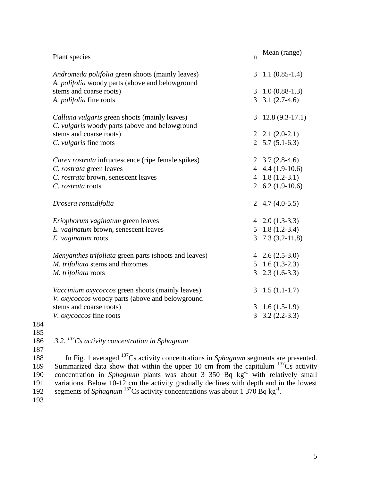| Plant species                                           | n | Mean (range)              |
|---------------------------------------------------------|---|---------------------------|
| Andromeda polifolia green shoots (mainly leaves)        | 3 | $1.1(0.85-1.4)$           |
| A. polifolia woody parts (above and belowground         |   |                           |
| stems and coarse roots)                                 |   | $3\quad 1.0\ (0.88-1.3)$  |
| A. <i>polifolia</i> fine roots                          |   | $3 \quad 3.1 \ (2.7-4.6)$ |
|                                                         |   |                           |
| Calluna vulgaris green shoots (mainly leaves)           | 3 | $12.8(9.3-17.1)$          |
| C. vulgaris woody parts (above and belowground          |   |                           |
| stems and coarse roots)                                 |   | $2, 2.1(2.0-2.1)$         |
| C. vulgaris fine roots                                  |   | 2 $5.7(5.1-6.3)$          |
| Carex rostrata infructescence (ripe female spikes)      |   | 2 $3.7(2.8-4.6)$          |
| C. rostrata green leaves                                |   | 4 $4.4(1.9-10.6)$         |
| C. rostrata brown, senescent leaves                     |   | 4 $1.8(1.2-3.1)$          |
| C. rostrata roots                                       |   | 2 $6.2(1.9-10.6)$         |
|                                                         |   |                           |
| Drosera rotundifolia                                    |   | 2 4.7 $(4.0-5.5)$         |
|                                                         |   |                           |
| Eriophorum vaginatum green leaves                       |   | 4 $2.0(1.3-3.3)$          |
| E. vaginatum brown, senescent leaves                    |   | $5\quad 1.8\ (1.2-3.4)$   |
| E. vaginatum roots                                      | 3 | $7.3(3.2-11.8)$           |
|                                                         |   |                           |
| Menyanthes trifoliata green parts (shoots and leaves)   |   | 4 $2.6(2.5-3.0)$          |
| M. trifoliata stems and rhizomes                        |   | $5\quad 1.6\ (1.3-2.3)$   |
| M. trifoliata roots                                     | 3 | $2.3(1.6-3.3)$            |
| <i>Vaccinium oxycoccos</i> green shoots (mainly leaves) | 3 | $1.5(1.1-1.7)$            |
| V. oxycoccos woody parts (above and belowground         |   |                           |
| stems and coarse roots)                                 | 3 | $1.6(1.5-1.9)$            |
| V. oxycoccos fine roots                                 |   | $3.2(2.2-3.3)$            |

185

187

186 3.2. <sup>137</sup>Cs activity concentration in Sphagnum

In Fig. 1 averaged <sup>137</sup>Cs activity concentrations in *Sphagnum* segments are presented.<br>189 Summarized data show that within the upper 10 cm from the capitulum <sup>137</sup>Cs activity 189 Summarized data show that within the upper 10 cm from the capitulum  $137\text{Cs}$  activity 190 concentration in *Sphagnum* plants was about 3 350 Bq kg<sup>-1</sup> with relatively small 191 variations. Below 10-12 cm the activity gradually declines with depth and in the lowest 192 segments of *Sphagnum*<sup>137</sup>Cs activity concentrations was about 1 370 Bq kg<sup>-1</sup>.

193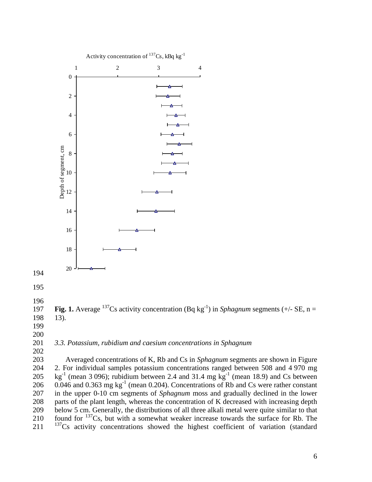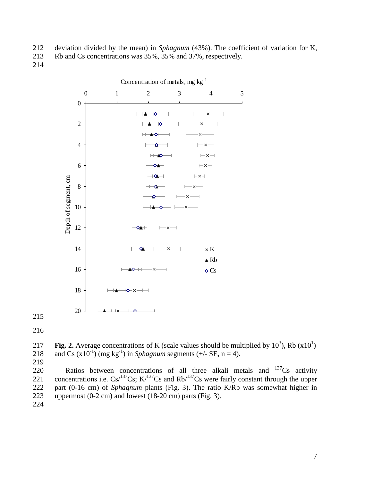- deviation divided by the mean) in *Sphagnum* (43%). The coefficient of variation for K,
- Rb and Cs concentrations was 35%, 35% and 37%, respectively.
- 



217 **Fig. 2.** Average concentrations of K (scale values should be multiplied by  $10^3$ ), Rb  $(x10^1)$ 218 and Cs  $(x10^{-1})$  (mg kg<sup>-1</sup>) in *Sphagnum* segments (+/- SE, n = 4).

220 Ratios between concentrations of all three alkali metals and  $137Cs$  activity 221 concentrations i.e.  $Cs^{137}Cs$ ; K<sup> $/137$ </sup>Cs and Rb<sup> $/137$ </sup>Cs were fairly constant through the upper part (0-16 cm) of *Sphagnum* plants (Fig. 3). The ratio K/Rb was somewhat higher in uppermost (0-2 cm) and lowest (18-20 cm) parts (Fig. 3).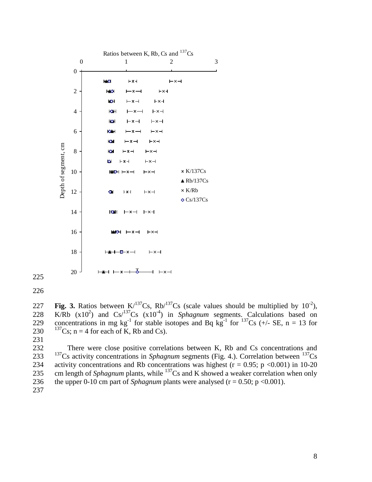

226

227 **Fig. 3.** Ratios between  $K/137Cs$ ,  $Rb/137Cs$  (scale values should be multiplied by  $10^{-2}$ ), 228 K/Rb  $(x10^2)$  and  $Cs/137Cs$   $(x10^4)$  in *Sphagnum* segments. Calculations based on 229 concentrations in mg kg<sup>-1</sup> for stable isotopes and Bq kg<sup>-1</sup> for <sup>137</sup>Cs (+/- SE, n = 13 for 230  $^{137}Cs$ ; n = 4 for each of K, Rb and Cs).

231

232 There were close positive correlations between K, Rb and Cs concentrations and <sup>137</sup>Cs activity concentrations in *Sphagnum* segments (Fig. 4.). Correlation between <sup>137</sup>Cs 234 activity concentrations and Rb concentrations was highest ( $r = 0.95$ ; p <0.001) in 10-20 235 cm length of *Sphagnum* plants, while  $^{137}$ Cs and K showed a weaker correlation when only 236 the upper 0-10 cm part of *Sphagnum* plants were analysed ( $r = 0.50$ ; p <0.001). 237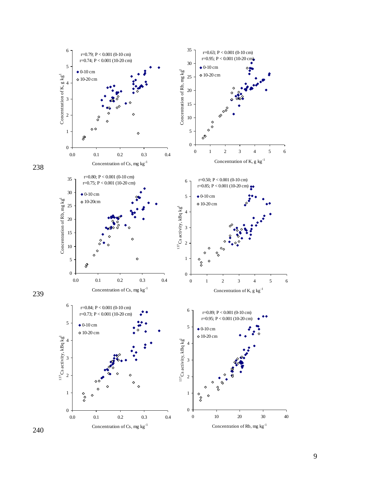

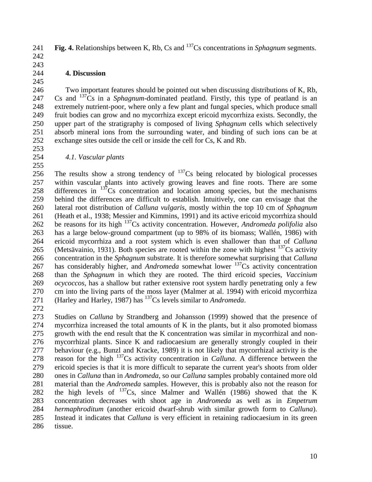**Fig. 4.** Relationships between K, Rb, Cs and  $^{137}$ Cs concentrations in *Sphagnum* segments. 

## **4. Discussion**

 Two important features should be pointed out when discussing distributions of K, Rb, 247 Cs and <sup>137</sup>Cs in a *Sphagnum*-dominated peatland. Firstly, this type of peatland is an extremely nutrient-poor, where only a few plant and fungal species, which produce small fruit bodies can grow and no mycorrhiza except ericoid mycorrhiza exists. Secondly, the upper part of the stratigraphy is composed of living *Sphagnum* cells which selectively absorb mineral ions from the surrounding water, and binding of such ions can be at exchange sites outside the cell or inside the cell for Cs, K and Rb.

 

*4.1. Vascular plants* 

 The results show a strong tendency of  $137$ Cs being relocated by biological processes within vascular plants into actively growing leaves and fine roots. There are some 258 differences in Cs concentration and location among species, but the mechanisms behind the differences are difficult to establish. Intuitively, one can envisage that the lateral root distribution of *Calluna vulgaris*, mostly within the top 10 cm of *Sphagnum* (Heath et al., 1938; Messier and Kimmins, 1991) and its active ericoid mycorrhiza should 262 be reasons for its high <sup>137</sup>Cs activity concentration. However, *Andromeda polifolia* also has a large below-ground compartment (up to 98% of its biomass; Wallén, 1986) with ericoid mycorrhiza and a root system which is even shallower than that of *Calluna* 265 (Metsävainio, 1931). Both species are rooted within the zone with highest  $^{137}Cs$  activity concentration in the *Sphagnum* substrate. It is therefore somewhat surprising that *Calluna* 267 has considerably higher, and *Andromeda* somewhat lower <sup>137</sup>Cs activity concentration than the *Sphagnum* in which they are rooted. The third ericoid species, *Vaccinium ocycoccos*, has a shallow but rather extensive root system hardly penetrating only a few cm into the living parts of the moss layer (Malmer at al. 1994) with ericoid mycorrhiza 271 (Harley and Harley, 1987) has <sup>137</sup>Cs levels similar to *Andromeda*.

 Studies on *Calluna* by Strandberg and Johansson (1999) showed that the presence of mycorrhiza increased the total amounts of K in the plants, but it also promoted biomass growth with the end result that the K concentration was similar in mycorrhizal and non- mycorrhizal plants. Since K and radiocaesium are generally strongly coupled in their behaviour (e.g., Bunzl and Kracke, 1989) it is not likely that mycorrhizal activity is the 278 reason for the high Cs activity concentration in *Calluna*. A difference between the ericoid species is that it is more difficult to separate the current year's shoots from older ones in *Calluna* than in *Andromeda*, so our *Calluna* samples probably contained more old material than the *Andromeda* samples. However, this is probably also not the reason for 282 the high levels of Cs, since Malmer and Wallén (1986) showed that the K concentration decreases with shoot age in *Andromeda* as well as in *Empetrum hermaphroditum* (another ericoid dwarf-shrub with similar growth form to *Calluna*). Instead it indicates that *Calluna* is very efficient in retaining radiocaesium in its green tissue.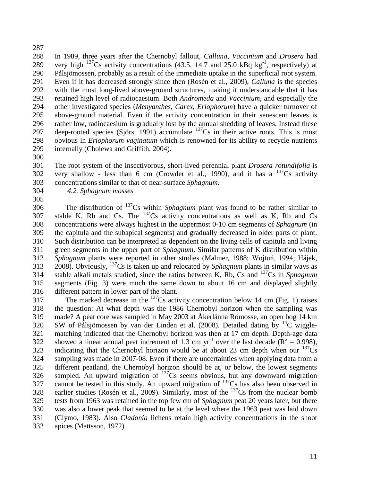In 1989, three years after the Chernobyl fallout, *Calluna*, *Vaccinium* and *Drosera* had 289 very high  $^{137}Cs$  activity concentrations (43.5, 14.7 and 25.0 kBq kg<sup>-1</sup>, respectively) at Pålsjömossen, probably as a result of the immediate uptake in the superficial root system. Even if it has decreased strongly since then (Rosén et al., 2009), *Calluna* is the species with the most long-lived above-ground structures, making it understandable that it has retained high level of radiocaesium. Both *Andromeda* and *Vaccinium*, and especially the other investigated species (*Menyanthes*, *Carex*, *Eriophorum*) have a quicker turnover of above-ground material. Even if the activity concentration in their senescent leaves is rather low, radiocaesium is gradually lost by the annual shedding of leaves. Instead these 297 deep-rooted species (Sjörs, 1991) accumulate Cs in their active roots. This is most obvious in *Eriophorum vaginatum* which is renowned for its ability to recycle nutrients internally (Cholewa and Griffith, 2004).

 The root system of the insectivorous, short-lived perennial plant *Drosera rotundifolia* is 302 very shallow - less than 6 cm (Crowder et al., 1990), and it has a  $^{137}Cs$  activity concentrations similar to that of near-surface *Sphagnum*.

*4.2. Sphagnum mosses*

The distribution of Cs within *Sphagnum* plant was found to be rather similar to 307 stable K, Rb and Cs. The  $^{137}$ Cs activity concentrations as well as K, Rb and Cs concentrations were always highest in the uppermost 0-10 cm segments of *Sphagnum* (in the capitula and the subapical segments) and gradually decreased in older parts of plant. Such distribution can be interpreted as dependent on the living cells of capitula and living green segments in the upper part of *Sphagnum*. Similar patterns of K distribution within *Sphagnum* plants were reported in other studies (Malmer, 1988; Wojtuń, 1994; Hájek, 2008). Obviously, Cs is taken up and relocated by *Sphagnum* plants in similar ways as 314 stable alkali metals studied, since the ratios between K, Rb, Cs and Cs in *Sphagnum*  segments (Fig. 3) were much the same down to about 16 cm and displayed slightly different pattern in lower part of the plant.

The marked decrease in the  $^{137}Cs$  activity concentration below 14 cm (Fig. 1) raises the question: At what depth was the 1986 Chernobyl horizon when the sampling was made? A peat core was sampled in May 2003 at Åkerlänna Römosse, an open bog 14 km SW of Pålsjömossen by van der Linden et al. (2008). Detailed dating by <sup>14</sup>C wiggle- matching indicated that the Chernobyl horizon was then at 17 cm depth. Depth-age data 322 showed a linear annual peat increment of 1.3 cm yr<sup>-1</sup> over the last decade ( $\mathbf{R}^2 = 0.998$ ), 323 indicating that the Chernobyl horizon would be at about 23 cm depth when our  $^{137}Cs$  sampling was made in 2007-08. Even if there are uncertainties when applying data from a different peatland, the Chernobyl horizon should be at, or below, the lowest segments sampled. An upward migration of  $137$ Cs seems obvious, but any downward migration 327 cannot be tested in this study. An upward migration of  $^{137}Cs$  has also been observed in 328 earlier studies (Rosén et al., 2009). Similarly, most of the Cs from the nuclear bomb tests from 1963 was retained in the top few cm of *Sphagnum* peat 20 years later, but there was also a lower peak that seemed to be at the level where the 1963 peat was laid down (Clymo, 1983). Also *Cladonia* lichens retain high activity concentrations in the shoot apices (Mattsson, 1972).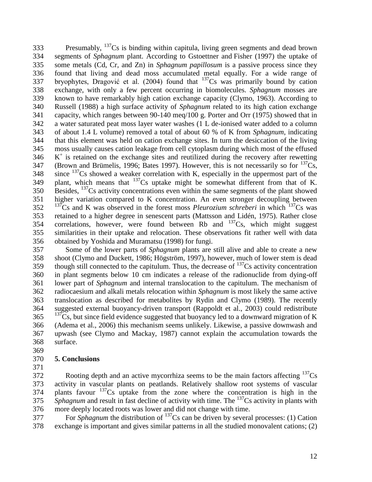Presumably,  $137Cs$  is binding within capitula, living green segments and dead brown segments of *Sphagnum* plant. According to Gstoettner and Fisher (1997) the uptake of some metals (Cd, Cr, and Zn) in *Sphagnum papillosum* is a passive process since they found that living and dead moss accumulated metal equally. For a wide range of 337 bryophytes, Dragović et al.  $(2004)$  found that  $137$ Cs was primarily bound by cation exchange, with only a few percent occurring in biomolecules. *Sphagnum* mosses are known to have remarkably high cation exchange capacity (Clymo, 1963). According to Russell (1988) a high surface activity of *Sphagnum* related to its high cation exchange capacity, which ranges between 90-140 meq/100 g. Porter and Orr (1975) showed that in a water saturated peat moss layer water washes (1 L de-ionised water added to a column of about 1.4 L volume) removed a total of about 60 % of K from *Sphagnum*, indicating that this element was held on cation exchange sites. In turn the desiccation of the living moss usually causes cation leakage from cell cytoplasm during which most of the effused 346 K<sup>+</sup> is retained on the exchange sites and reutilized during the recovery after rewetting 347 (Brown and Brümelis, 1996; Bates 1997). However, this is not necessarily so for  $^{137}Cs$ , since <sup>137</sup>Cs showed a weaker correlation with K, especially in the uppermost part of the 349 plant, which means that Cs uptake might be somewhat different from that of K.  $B\text{ is Bess.}$   $^{137}\text{Cs}$  activity concentrations even within the same segments of the plant showed higher variation compared to K concentration. An even stronger decoupling between <sup>137</sup>Cs and K was observed in the forest moss *Pleurozium schreberi* in which <sup>137</sup>Cs was retained to a higher degree in senescent parts (Mattsson and Lidén, 1975). Rather close 354 correlations, however, were found between Rb and  $137\text{Cs}$ , which might suggest similarities in their uptake and relocation. These observations fit rather well with data obtained by Yoshida and Muramatsu (1998) for fungi.

 Some of the lower parts of *Sphagnum* plants are still alive and able to create a new shoot (Clymo and Duckett, 1986; Högström, 1997), however, much of lower stem is dead 359 though still connected to the capitulum. Thus, the decrease of Cs activity concentration in plant segments below 10 cm indicates a release of the radionuclide from dying-off lower part of *Sphagnum* and internal translocation to the capitulum. The mechanism of radiocaesium and alkali metals relocation within *Sphagnum* is most likely the same active translocation as described for metabolites by Rydin and Clymo (1989). The recently suggested external buoyancy-driven transport (Rappoldt et al., 2003) could redistribute  $137\text{Cs}$ , but since field evidence suggested that buoyancy led to a downward migration of K (Adema et al., 2006) this mechanism seems unlikely. Likewise, a passive downwash and upwash (see Clymo and Mackay, 1987) cannot explain the accumulation towards the surface. 

## **5. Conclusions**

 Rooting depth and an active mycorrhiza seems to be the main factors affecting  $137<sub>Cs</sub>$  activity in vascular plants on peatlands. Relatively shallow root systems of vascular plants favour  $137$ Cs uptake from the zone where the concentration is high in the *Sphagnum* and result in fast decline of activity with time. The Cs activity in plants with more deeply located roots was lower and did not change with time.

For *Sphagnum* the distribution of  $^{137}Cs$  can be driven by several processes: (1) Cation exchange is important and gives similar patterns in all the studied monovalent cations; (2)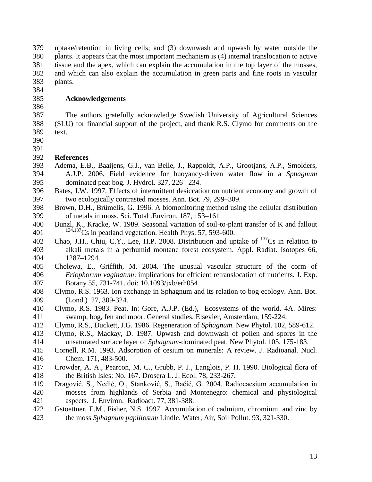uptake/retention in living cells; and (3) downwash and upwash by water outside the plants. It appears that the most important mechanism is (4) internal translocation to active tissue and the apex, which can explain the accumulation in the top layer of the mosses, and which can also explain the accumulation in green parts and fine roots in vascular plants.

- **Acknowledgements**
- 

 The authors gratefully acknowledge Swedish University of Agricultural Sciences (SLU) for financial support of the project, and thank R.S. Clymo for comments on the text.

 

## **References**

- Adema, E.B., Baaijens, G.J., van Belle, J., Rappoldt, A.P., Grootjans, A.P., Smolders, A.J.P. 2006. Field evidence for buoyancy-driven water flow in a *Sphagnum* dominated peat bog. J. Hydrol. 327, 226– 234.
- Bates, J.W. 1997. Effects of intermittent desiccation on nutrient economy and growth of two ecologically contrasted mosses. Ann. Bot. 79, 299–309.
- Brown, D.H., Brümelis, G. 1996. A biomonitoring method using the cellular distribution of metals in moss. Sci. Total .Environ. 187, 153–161
- Bunzl, K., Kracke, W. 1989. Seasonal variation of soil-to-plant transfer of K and fallout 401 <sup>134,137</sup>Cs in peatland vegetation. Health Phys. 57, 593-600.
- 402 Chao, J.H., Chiu, C.Y., Lee, H.P. 2008. Distribution and uptake of  $^{137}Cs$  in relation to alkali metals in a perhumid montane forest ecosystem. Appl. Radiat. Isotopes 66, 1287–1294.
- Cholewa, E., Griffith, M. 2004. The unusual vascular structure of the corm of *Eriophorum vaginatum*: implications for efficient retranslocation of nutrients. J. Exp. Botany 55, 731-741. doi: 10.1093/jxb/erh054
- Clymo, R.S. 1963. Ion exchange in Sphagnum and its relation to bog ecology. Ann. Bot. (Lond.) 27, 309-324.
- Clymo, R.S. 1983. Peat. In: Gore, A.J.P. (Ed.), Ecosystems of the world. 4A. Mires: swamp, bog, fen and moor. General studies. Elsevier, Amsterdam, 159-224.
- Clymo, R.S., Duckett, J.G. 1986. Regeneration of *Sphagnum*. New Phytol. 102, 589-612.
- Clymo, R.S., Mackay, D. 1987. Upwash and downwash of pollen and spores in the unsaturated surface layer of *Sphagnum*-dominated peat. New Phytol. 105, 175-183.
- Cornell, R.M. 1993. Adsorption of cesium on minerals: A review. J. Radioanal. Nucl. Chem. 171, 483-500.
- Crowder, A. A., Pearcon, M. C., Grubb, P. J., Langlois, P. H. 1990. Biological flora of the British Isles: No. 167. Drosera L. J. Ecol. 78, 233-267.
- Dragović, S., Nedić, O., Stanković, S., Bačić, G. 2004. Radiocaesium accumulation in mosses from highlands of Serbia and Montenegro: chemical and physiological aspects. J. Environ. Radioact. 77, 381-388.
- Gstoettner, E.M., Fisher, N.S. 1997. Accumulation of cadmium, chromium, and zinc by the moss *Sphagnum papillosum* Lindle. [Water, Air, Soil Pollut.](http://www.ingentaconnect.com/content/klu/wate;jsessionid=6s0r8dl0k61h5.alice) 93, 321-330.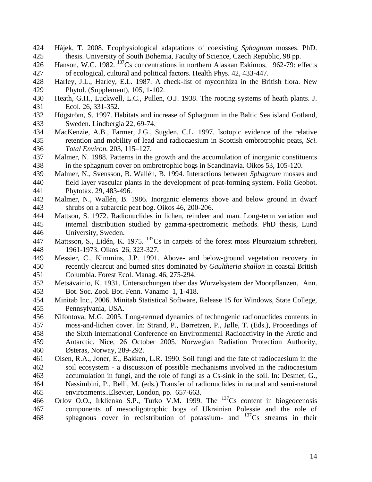- Hájek, T. 2008. Ecophysiological adaptations of coexisting *Sphagnum* mosses. PhD. thesis. University of South Bohemia, Faculty of Science, Czech Republic, 98 pp.
- 426 Hanson, W.C. 1982. <sup>137</sup>Cs concentrations in northern Alaskan Eskimos, 1962-79: effects of ecological, cultural and political factors. Health Phys. 42, 433-447.
- Harley, J.L., Harley, E.L. 1987. A check-list of mycorrhiza in the British flora. New Phytol. (Supplement), 105, 1-102.
- Heath, G.H., Luckwell, L.C., Pullen, O.J. 1938. The rooting systems of heath plants. J. Ecol. 26, 331-352.
- Högström, S. 1997. Habitats and increase of Sphagnum in the Baltic Sea island Gotland, Sweden. Lindbergia 22, 69-74.
- MacKenzie, A.B., Farmer, J.G., Sugden, C.L. 1997. Isotopic evidence of the relative retention and mobility of lead and radiocaesium in Scottish ombrotrophic peats, *Sci. Total Environ.* 203, 115–127.
- Malmer, N. 1988. Patterns in the growth and the accumulation of inorganic constituents in the sphagnum cover on ombrotrophic bogs in Scandinavia. Oikos 53, 105-120.
- Malmer, N., Svensson, B. Wallén, B. 1994. Interactions between *Sphagnum* mosses and field layer vascular plants in the development of peat-forming system. Folia Geobot. Phytotax. 29, 483-496.
- Malmer, N., Wallén, B. 1986. Inorganic elements above and below ground in dwarf shrubs on a subarctic peat bog. Oikos 46, 200-206.
- Mattson, S. 1972. Radionuclides in lichen, reindeer and man. Long-term variation and internal distribution studied by gamma-spectrometric methods. PhD thesis, Lund University, Sweden.
- 447 Mattsson, S., Lidén, K. 1975. <sup>137</sup>Cs in carpets of the forest moss Pleurozium schreberi, 1961-1973. Oikos 26, 323-327.
- Messier, C., Kimmins, J.P. 1991. Above- and below-ground vegetation recovery in recently clearcut and burned sites dominated by *Gaultheria shallon* in coastal British Columbia. Forest Ecol. Manag. 46, 275-294.
- Metsävainio, K. 1931. Untersuchungen über das Wurzelsystem der Moorpflanzen. Ann. Bot. Soc. Zool. Bot. Fenn. Vanamo 1, 1-418.
- Minitab Inc., 2006. Minitab Statistical Software, Release 15 for Windows, State College, Pennsylvania, USA.
- Nifontova, M.G. 2005. Long-termed dynamics of technogenic radionuclides contents in moss-and-lichen cover. In: Strand, P., Børretzen, P., Jølle, T. (Eds.), Proceedings of the Sixth International Conference on Environmental Radioactivity in the Arctic and Antarctic. Nice, 26 October 2005. Norwegian Radiation Protection Authority, Østeras, Norway, 289-292.
- Olsen, R.A., Joner, E., Bakken, L.R. 1990. Soil fungi and the fate of radiocaesium in the soil ecosystem - a discussion of possible mechanisms involved in the radiocaesium accumulation in fungi, and the role of fungi as a Cs-sink in the soil. In: Desmet, G., Nassimbini, P., Belli, M. (eds.) Transfer of radionuclides in natural and semi-natural environments..Elsevier, London, pp. 657-663.
- 466 Orlov O.O., Irklienko S.P., Turko V.M. 1999. The  $^{137}Cs$  content in biogeocenosis components of mesooligotrophic bogs of Ukrainian Polessie and the role of 468 sphagnous cover in redistribution of potassium- and  $137Cs$  streams in their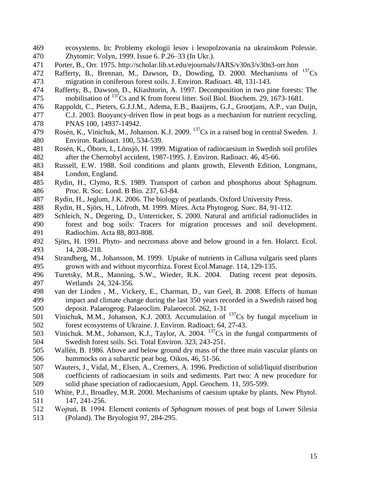- ecosystems. In: Problemy ekologii lesov i lesopolzovania na ukrainskom Polessie. Zhytomir: Volyn, 1999. Issue 6. P.26–33 (In Ukr.).
- Porter, B., Orr. 1975.<http://scholar.lib.vt.edu/ejournals/JARS/v30n3/v30n3-orr.htm>
- 472 Rafferty, B., Brennan, M., Dawson, D., Dowding, D. 2000. Mechanisms of  $^{137}Cs$ migration in coniferous forest soils. J. Environ. Radioact. 48, 131-143.
- Rafferty, B., Dawson, D., Kliashtorin, A. 1997. Decomposition in two pine forests: The 475 mobilisation of  $^{137}$ Cs and K from forest litter. Soil Biol. Biochem. 29, 1673-1681.
- Rappoldt, C., Pieters, G.J.J.M., Adema, E.B., Baaijens, G.J., Grootjans, A.P., van Duijn, C.J. 2003. Buoyancy-driven flow in peat bogs as a mechanism for nutrient recycling. PNAS 100, 14937-14942.
- 479 Rosén, K., Vinichuk, M., Johanson. K.J. 2009.  $^{137}Cs$  in a raised bog in central Sweden. J. Environ. Radioact. 100, 534-539.
- Rosén, K., Öborn, I., Lönsjö, H. 1999. Migration of radiocaesium in Swedish soil profiles after the Chernobyl accident, 1987-1995. J. Environ. Radioact. 46, 45-66.
- Russell, E.W. 1988. Soil conditions and plants growth, Eleventh Edition, Longmans, London, England.
- Rydin, H., Clymo, R.S. 1989. Transport of carbon and phosphorus about Sphagnum. Proc. R. Soc. Lond. B Bio. 237, 63-84.
- Rydin, H., Jeglum, J.K. 2006. The biology of peatlands. Oxford University Press.
- Rydin, H., Sjörs, H., Löfroth, M. 1999. Mires. Acta Phytogeog. Suec. 84, 91-112.
- Schleich, N., Degering, D., Unterricker, S. 2000. Natural and artificial radionuclides in forest and bog soils: Tracers for migration processes and soil development. Radiochim. Acta 88, 803-808.
- Sjörs, H. 1991. Phyto- and necromass above and below ground in a fen. Holarct. Ecol. 14, 208-218.
- Strandberg, M., Johansson, M. 1999. Uptake of nutrients in Calluna vulgaris seed plants grown with and without mycorrhiza. Forest Ecol.Manage. 114, 129-135.
- Turetsky, M.R., Manning, S.W., Wieder, R.K. 2004. Dating recent peat deposits. Wetlands 24, 324-356.
- van der Linden , M., Vickery, E., Charman, D., van Geel, B. 2008. Effects of human impact and climate change during the last 350 years recorded in a Swedish raised bog deposit. Palaeogeog. Palaeoclim. Palaeoecol. 262, 1-31
- 501 Vinichuk, M.M., Johanson, K.J. 2003. Accumulation of  $^{137}Cs$  by fungal mycelium in forest ecosystems of Ukraine. J. Environ. Radioact. 64*,* 27-43.
- 503 Vinichuk. M.M., Johanson, K.J., Taylor, A. 2004.  $^{137}Cs$  in the fungal compartments of Swedish forest soils. Sci. Total Environ. 323, 243-251.
- Wallén, B. 1986. Above and below ground dry mass of the three main vascular plants on hummocks on a subarctic peat bog. Oikos, 46, 51-56.
- Wauters, J., Vidal, M., Elsen, A., Cremers, A. 1996. Prediction of solid/liquid distribution coefficients of radiocaesium in soils and sediments. Part two: A new procedure for solid phase speciation of radiocaesium, Appl. Geochem. 11, 595-599.
- White, P.J., Broadley, M.R. 2000. Mechanisms of caesium uptake by plants. New Phytol. 147, 241-256.
- Wojtuń, B. 1994. Element contents of *Sphagnum* mosses of peat bogs of Lower Silesia (Poland). The Bryologist 97, 284-295.